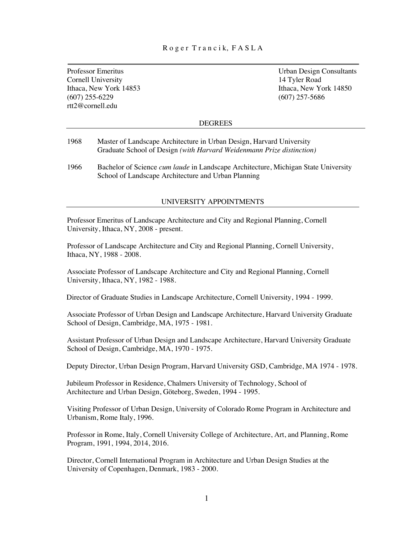## R o g e r T r a n c i k, F A S L A

Cornell University 14 Tyler Road rtt2@cornell.edu

Professor Emeritus Urban Design Consultants Ithaca, New York 14853<br>
(607) 255-6229<br>
(607) 255-6229<br>
(607) 257-5686  $(607)$  257-5686

### DEGREES

- 1968 Master of Landscape Architecture in Urban Design, Harvard University Graduate School of Design *(with Harvard Weidenmann Prize distinction)*
- 1966 Bachelor of Science *cum laude* in Landscape Architecture, Michigan State University School of Landscape Architecture and Urban Planning

### UNIVERSITY APPOINTMENTS

Professor Emeritus of Landscape Architecture and City and Regional Planning, Cornell University, Ithaca, NY, 2008 - present.

Professor of Landscape Architecture and City and Regional Planning, Cornell University, Ithaca, NY, 1988 - 2008.

Associate Professor of Landscape Architecture and City and Regional Planning, Cornell University, Ithaca, NY, 1982 - 1988.

Director of Graduate Studies in Landscape Architecture, Cornell University, 1994 - 1999.

Associate Professor of Urban Design and Landscape Architecture, Harvard University Graduate School of Design, Cambridge, MA, 1975 - 1981.

Assistant Professor of Urban Design and Landscape Architecture, Harvard University Graduate School of Design, Cambridge, MA, 1970 - 1975.

Deputy Director, Urban Design Program, Harvard University GSD, Cambridge, MA 1974 - 1978.

 Jubileum Professor in Residence, Chalmers University of Technology, School of Architecture and Urban Design, Göteborg, Sweden, 1994 - 1995.

Visiting Professor of Urban Design, University of Colorado Rome Program in Architecture and Urbanism, Rome Italy, 1996.

Professor in Rome, Italy, Cornell University College of Architecture, Art, and Planning, Rome Program, 1991, 1994, 2014, 2016.

Director, Cornell International Program in Architecture and Urban Design Studies at the University of Copenhagen, Denmark, 1983 - 2000.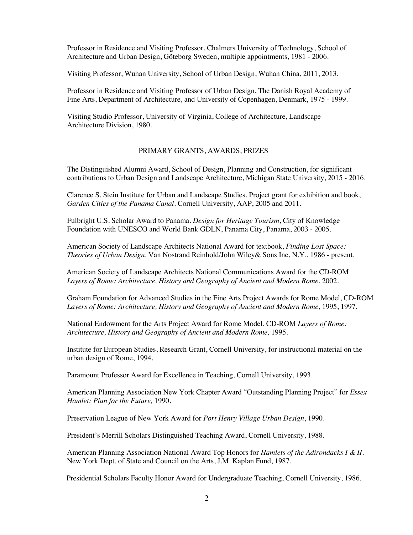Professor in Residence and Visiting Professor, Chalmers University of Technology, School of Architecture and Urban Design, Göteborg Sweden, multiple appointments, 1981 - 2006.

Visiting Professor, Wuhan University, School of Urban Design, Wuhan China, 2011, 2013.

Professor in Residence and Visiting Professor of Urban Design, The Danish Royal Academy of Fine Arts, Department of Architecture, and University of Copenhagen, Denmark, 1975 - 1999.

Visiting Studio Professor, University of Virginia, College of Architecture, Landscape Architecture Division, 1980.

## PRIMARY GRANTS, AWARDS, PRIZES

The Distinguished Alumni Award, School of Design, Planning and Construction, for significant contributions to Urban Design and Landscape Architecture, Michigan State University, 2015 - 2016.

Clarence S. Stein Institute for Urban and Landscape Studies. Project grant for exhibition and book, *Garden Cities of the Panama Canal*. Cornell University, AAP, 2005 and 2011.

Fulbright U.S. Scholar Award to Panama. *Design for Heritage Tourism*, City of Knowledge Foundation with UNESCO and World Bank GDLN, Panama City, Panama, 2003 - 2005.

American Society of Landscape Architects National Award for textbook, *Finding Lost Space: Theories of Urban Design.* Van Nostrand Reinhold/John Wiley& Sons Inc, N.Y., 1986 - present.

 American Society of Landscape Architects National Communications Award for the CD-ROM *Layers of Rome: Architecture, History and Geography of Ancient and Modern Rome*, 2002.

Graham Foundation for Advanced Studies in the Fine Arts Project Awards for Rome Model, CD-ROM *Layers of Rome: Architecture, History and Geography of Ancient and Modern Rome,* 1995, 1997.

National Endowment for the Arts Project Award for Rome Model, CD-ROM *Layers of Rome: Architecture, History and Geography of Ancient and Modern Rome,* 1995.

Institute for European Studies, Research Grant, Cornell University, for instructional material on the urban design of Rome, 1994.

Paramount Professor Award for Excellence in Teaching, Cornell University, 1993.

American Planning Association New York Chapter Award "Outstanding Planning Project" for *Essex Hamlet: Plan for the Future,* 1990.

Preservation League of New York Award for *Port Henry Village Urban Design*, 1990.

President's Merrill Scholars Distinguished Teaching Award, Cornell University, 1988.

American Planning Association National Award Top Honors for *Hamlets of the Adirondacks I & II.*  New York Dept. of State and Council on the Arts, J.M. Kaplan Fund, 1987.

Presidential Scholars Faculty Honor Award for Undergraduate Teaching, Cornell University, 1986.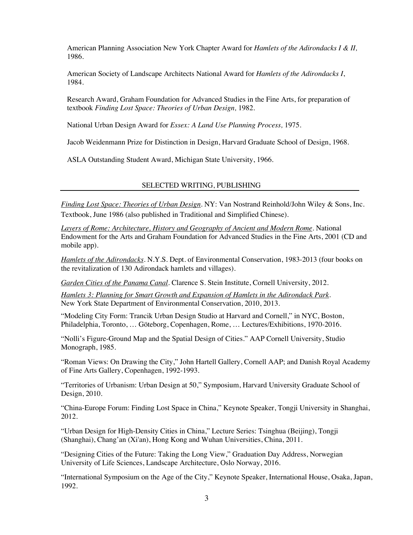American Planning Association New York Chapter Award for *Hamlets of the Adirondacks I & II,* 1986.

American Society of Landscape Architects National Award for *Hamlets of the Adirondacks I*, 1984.

Research Award, Graham Foundation for Advanced Studies in the Fine Arts, for preparation of textbook *Finding Lost Space: Theories of Urban Design,* 1982.

National Urban Design Award for *Essex: A Land Use Planning Process,* 1975.

Jacob Weidenmann Prize for Distinction in Design, Harvard Graduate School of Design, 1968.

ASLA Outstanding Student Award, Michigan State University, 1966.

### SELECTED WRITING, PUBLISHING

*Finding Lost Space: Theories of Urban Design*. NY: Van Nostrand Reinhold/John Wiley & Sons, Inc. Textbook, June 1986 (also published in Traditional and Simplified Chinese).

*Layers of Rome: Architecture, History and Geography of Ancient and Modern Rome*. National Endowment for the Arts and Graham Foundation for Advanced Studies in the Fine Arts, 2001 (CD and mobile app).

*Hamlets of the Adirondacks*. N.Y.S. Dept. of Environmental Conservation, 1983-2013 (four books on the revitalization of 130 Adirondack hamlets and villages).

*Garden Cities of the Panama Canal*. Clarence S. Stein Institute, Cornell University, 2012.

*Hamlets 3: Planning for Smart Growth and Expansion of Hamlets in the Adirondack Park.* New York State Department of Environmental Conservation, 2010, 2013.

"Modeling City Form: Trancik Urban Design Studio at Harvard and Cornell," in NYC, Boston, Philadelphia, Toronto, … Göteborg, Copenhagen, Rome, … Lectures/Exhibitions, 1970-2016.

"Nolli's Figure-Ground Map and the Spatial Design of Cities." AAP Cornell University, Studio Monograph, 1985.

"Roman Views: On Drawing the City," John Hartell Gallery, Cornell AAP; and Danish Royal Academy of Fine Arts Gallery, Copenhagen, 1992-1993.

"Territories of Urbanism: Urban Design at 50," Symposium, Harvard University Graduate School of Design, 2010.

"China-Europe Forum: Finding Lost Space in China," Keynote Speaker, Tongji University in Shanghai, 2012.

"Urban Design for High-Density Cities in China," Lecture Series: Tsinghua (Beijing), Tongji (Shanghai), Chang'an (Xi'an), Hong Kong and Wuhan Universities, China, 2011.

"Designing Cities of the Future: Taking the Long View," Graduation Day Address, Norwegian University of Life Sciences, Landscape Architecture, Oslo Norway, 2016.

"International Symposium on the Age of the City," Keynote Speaker, International House, Osaka, Japan, 1992.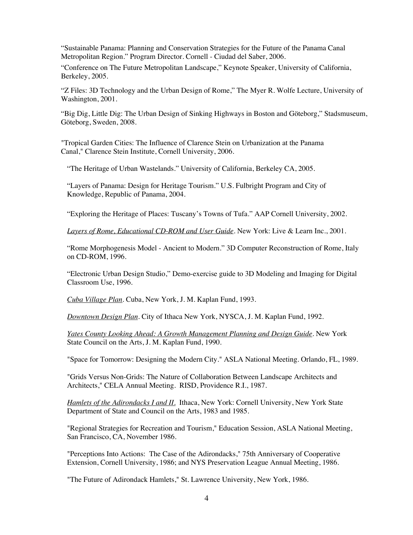"Sustainable Panama: Planning and Conservation Strategies for the Future of the Panama Canal Metropolitan Region." Program Director. Cornell - Ciudad del Saber, 2006.

"Conference on The Future Metropolitan Landscape," Keynote Speaker, University of California, Berkeley, 2005.

"Z Files: 3D Technology and the Urban Design of Rome," The Myer R. Wolfe Lecture, University of Washington, 2001.

"Big Dig, Little Dig: The Urban Design of Sinking Highways in Boston and Göteborg," Stadsmuseum, Göteborg, Sweden, 2008.

"Tropical Garden Cities: The Influence of Clarence Stein on Urbanization at the Panama Canal," Clarence Stein Institute, Cornell University, 2006.

"The Heritage of Urban Wastelands." University of California, Berkeley CA, 2005.

"Layers of Panama: Design for Heritage Tourism." U.S. Fulbright Program and City of Knowledge, Republic of Panama, 2004.

"Exploring the Heritage of Places: Tuscany's Towns of Tufa." AAP Cornell University, 2002.

*Layers of Rome, Educational CD-ROM and User Guide*. New York: Live & Learn Inc., 2001.

"Rome Morphogenesis Model - Ancient to Modern." 3D Computer Reconstruction of Rome, Italy on CD-ROM, 1996.

"Electronic Urban Design Studio," Demo-exercise guide to 3D Modeling and Imaging for Digital Classroom Use, 1996.

*Cuba Village Plan*. Cuba, New York, J. M. Kaplan Fund, 1993.

*Downtown Design Plan*. City of Ithaca New York, NYSCA, J. M. Kaplan Fund, 1992.

*Yates County Looking Ahead: A Growth Management Planning and Design Guide*. New York State Council on the Arts, J. M. Kaplan Fund, 1990.

"Space for Tomorrow: Designing the Modern City." ASLA National Meeting. Orlando, FL, 1989.

"Grids Versus Non-Grids: The Nature of Collaboration Between Landscape Architects and Architects," CELA Annual Meeting. RISD, Providence R.I., 1987.

*Hamlets of the Adirondacks I and II*. Ithaca, New York: Cornell University, New York State Department of State and Council on the Arts, 1983 and 1985.

"Regional Strategies for Recreation and Tourism," Education Session, ASLA National Meeting, San Francisco, CA, November 1986.

"Perceptions Into Actions: The Case of the Adirondacks," 75th Anniversary of Cooperative Extension, Cornell University, 1986; and NYS Preservation League Annual Meeting, 1986.

"The Future of Adirondack Hamlets," St. Lawrence University, New York, 1986.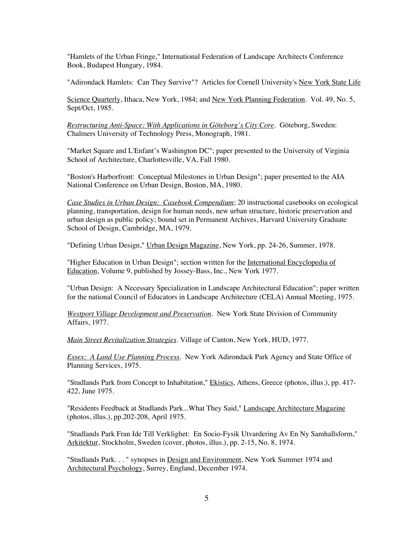"Hamlets of the Urban Fringe," International Federation of Landscape Architects Conference Book, Budapest Hungary, 1984.

"Adirondack Hamlets: Can They Survive"? Articles for Cornell University's New York State Life

Science Quarterly, Ithaca, New York, 1984; and New York Planning Federation. Vol. 49, No. 5, Sept/Oct, 1985.

*Restructuring Anti-Space: With Applications in Göteborg's City Core*. Göteborg, Sweden: Chalmers University of Technology Press, Monograph, 1981.

"Market Square and L'Enfant's Washington DC"; paper presented to the University of Virginia School of Architecture, Charlottesville, VA, Fall 1980.

"Boston's Harborfront: Conceptual Milestones in Urban Design"; paper presented to the AIA National Conference on Urban Design, Boston, MA, 1980.

*Case Studies in Urban Design: Casebook Compendium*; 20 instructional casebooks on ecological planning, transportation, design for human needs, new urban structure, historic preservation and urban design as public policy; bound set in Permanent Archives, Harvard University Graduate School of Design, Cambridge, MA, 1979.

"Defining Urban Design," Urban Design Magazine, New York, pp. 24-26, Summer, 1978.

"Higher Education in Urban Design"; section written for the International Encyclopedia of Education, Volume 9, published by Jossey-Bass, Inc., New York 1977.

"Urban Design: A Necessary Specialization in Landscape Architectural Education"; paper written for the national Council of Educators in Landscape Architecture (CELA) Annual Meeting, 1975.

*Westport Village Development and Preservation*. New York State Division of Community Affairs, 1977.

*Main Street Revitalization Strategies*. Village of Canton, New York, HUD, 1977.

*Essex: A Land Use Planning Process*. New York Adirondack Park Agency and State Office of Planning Services, 1975.

"Studlands Park from Concept to Inhabitation," Ekistics, Athens, Greece (photos, illus.), pp. 417- 422, June 1975.

"Residents Feedback at Studlands Park...What They Said," Landscape Architecture Magazine (photos, illus.), pp.202-208, April 1975.

"Studlands Park Fran Ide Till Verklighet: En Socio-Fysik Utvardering Av En Ny Samhallsform," Arkitektur, Stockholm, Sweden (cover, photos, illus.), pp. 2-15, No. 8, 1974.

"Studlands Park. . . " synopses in Design and Environment, New York Summer 1974 and Architectural Psychology, Surrey, England, December 1974.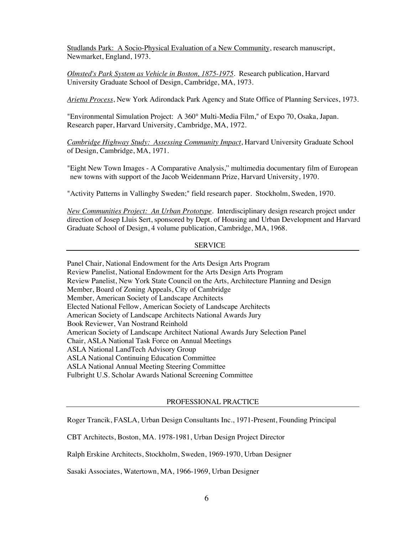Studlands Park: A Socio-Physical Evaluation of a New Community, research manuscript, Newmarket, England, 1973.

*Olmsted's Park System as Vehicle in Boston, 1875-1975*. Research publication, Harvard University Graduate School of Design, Cambridge, MA, 1973.

*Arietta Process*, New York Adirondack Park Agency and State Office of Planning Services, 1973.

"Environmental Simulation Project: A 360° Multi-Media Film," of Expo 70, Osaka, Japan. Research paper, Harvard University, Cambridge, MA, 1972.

*Cambridge Highway Study: Assessing Community Impact*, Harvard University Graduate School of Design, Cambridge, MA, 1971.

"Eight New Town Images - A Comparative Analysis," multimedia documentary film of European new towns with support of the Jacob Weidenmann Prize, Harvard University, 1970.

"Activity Patterns in Vallingby Sweden;" field research paper. Stockholm, Sweden, 1970.

*New Communities Project: An Urban Prototype*. Interdisciplinary design research project under direction of Josep Lluis Sert, sponsored by Dept. of Housing and Urban Development and Harvard Graduate School of Design, 4 volume publication, Cambridge, MA, 1968.

#### SERVICE

Panel Chair, National Endowment for the Arts Design Arts Program Review Panelist, National Endowment for the Arts Design Arts Program Review Panelist, New York State Council on the Arts, Architecture Planning and Design Member, Board of Zoning Appeals, City of Cambridge Member, American Society of Landscape Architects Elected National Fellow, American Society of Landscape Architects American Society of Landscape Architects National Awards Jury Book Reviewer, Van Nostrand Reinhold American Society of Landscape Architect National Awards Jury Selection Panel Chair, ASLA National Task Force on Annual Meetings ASLA National LandTech Advisory Group ASLA National Continuing Education Committee ASLA National Annual Meeting Steering Committee Fulbright U.S. Scholar Awards National Screening Committee

#### PROFESSIONAL PRACTICE

Roger Trancik, FASLA, Urban Design Consultants Inc., 1971-Present, Founding Principal

CBT Architects, Boston, MA. 1978-1981, Urban Design Project Director

Ralph Erskine Architects, Stockholm, Sweden, 1969-1970, Urban Designer

Sasaki Associates, Watertown, MA, 1966-1969, Urban Designer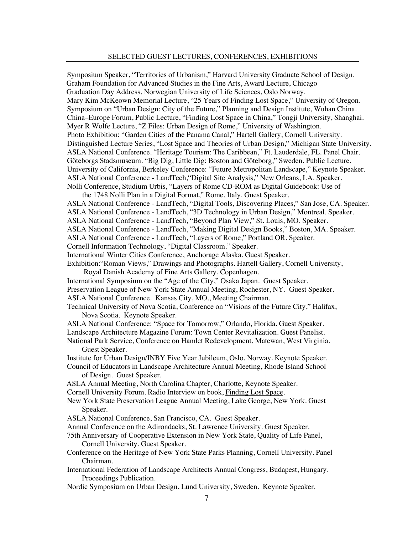### SELECTED GUEST LECTURES, CONFERENCES, EXHIBITIONS

Symposium Speaker, "Territories of Urbanism," Harvard University Graduate School of Design. Graham Foundation for Advanced Studies in the Fine Arts, Award Lecture, Chicago Graduation Day Address, Norwegian University of Life Sciences, Oslo Norway. Mary Kim McKeown Memorial Lecture, "25 Years of Finding Lost Space," University of Oregon. Symposium on "Urban Design: City of the Future," Planning and Design Institute, Wuhan China. China–Europe Forum, Public Lecture, "Finding Lost Space in China," Tongji University, Shanghai. Myer R Wolfe Lecture, "Z Files: Urban Design of Rome," University of Washington. Photo Exhibition: "Garden Cities of the Panama Canal," Hartell Gallery, Cornell University. Distinguished Lecture Series, "Lost Space and Theories of Urban Design," Michigan State University. ASLA National Conference. "Heritage Tourism: The Caribbean," Ft. Lauderdale, FL. Panel Chair. Göteborgs Stadsmuseum. "Big Dig, Little Dig: Boston and Göteborg," Sweden. Public Lecture. University of California, Berkeley Conference: "Future Metropolitan Landscape," Keynote Speaker. ASLA National Conference - LandTech,"Digital Site Analysis," New Orleans, LA. Speaker. Nolli Conference, Studium Urbis, "Layers of Rome CD-ROM as Digital Guidebook: Use of

the 1748 Nolli Plan in a Digital Format," Rome, Italy. Guest Speaker.

ASLA National Conference - LandTech, "Digital Tools, Discovering Places," San Jose, CA. Speaker.

ASLA National Conference - LandTech, "3D Technology in Urban Design," Montreal. Speaker.

ASLA National Conference - LandTech, "Beyond Plan View," St. Louis, MO. Speaker.

ASLA National Conference - LandTech, "Making Digital Design Books," Boston, MA. Speaker.

ASLA National Conference - LandTech, "Layers of Rome," Portland OR. Speaker.

Cornell Information Technology, "Digital Classroom." Speaker.

International Winter Cities Conference, Anchorage Alaska. Guest Speaker.

Exhibition:"Roman Views," Drawings and Photographs. Hartell Gallery, Cornell University, Royal Danish Academy of Fine Arts Gallery, Copenhagen.

International Symposium on the "Age of the City," Osaka Japan. Guest Speaker.

Preservation League of New York State Annual Meeting, Rochester, NY. Guest Speaker.

ASLA National Conference. Kansas City, MO., Meeting Chairman.

Technical University of Nova Scotia, Conference on "Visions of the Future City," Halifax, Nova Scotia. Keynote Speaker.

ASLA National Conference: "Space for Tomorrow," Orlando, Florida. Guest Speaker. Landscape Architecture Magazine Forum: Town Center Revitalization. Guest Panelist.

National Park Service, Conference on Hamlet Redevelopment, Matewan, West Virginia. Guest Speaker.

Institute for Urban Design/INBY Five Year Jubileum, Oslo, Norway. Keynote Speaker.

Council of Educators in Landscape Architecture Annual Meeting, Rhode Island School of Design. Guest Speaker.

ASLA Annual Meeting, North Carolina Chapter, Charlotte, Keynote Speaker.

Cornell University Forum. Radio Interview on book, Finding Lost Space.

New York State Preservation League Annual Meeting, Lake George, New York. Guest Speaker.

ASLA National Conference, San Francisco, CA. Guest Speaker.

Annual Conference on the Adirondacks, St. Lawrence University. Guest Speaker.

75th Anniversary of Cooperative Extension in New York State, Quality of Life Panel, Cornell University. Guest Speaker.

Conference on the Heritage of New York State Parks Planning, Cornell University. Panel Chairman.

International Federation of Landscape Architects Annual Congress, Budapest, Hungary. Proceedings Publication.

Nordic Symposium on Urban Design, Lund University, Sweden. Keynote Speaker.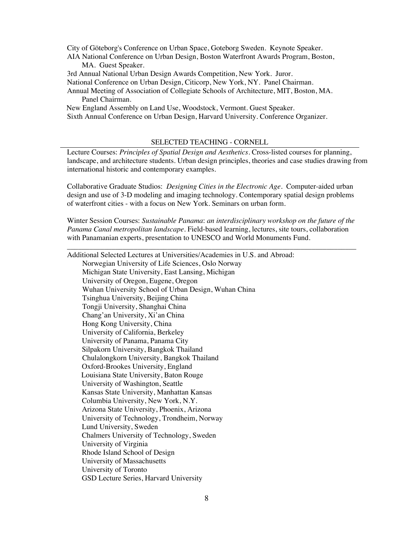City of Göteborg's Conference on Urban Space, Goteborg Sweden. Keynote Speaker. AIA National Conference on Urban Design, Boston Waterfront Awards Program, Boston, MA. Guest Speaker.

3rd Annual National Urban Design Awards Competition, New York. Juror.

National Conference on Urban Design, Citicorp, New York, NY. Panel Chairman.

Annual Meeting of Association of Collegiate Schools of Architecture, MIT, Boston, MA. Panel Chairman.

 New England Assembly on Land Use, Woodstock, Vermont. Guest Speaker. Sixth Annual Conference on Urban Design, Harvard University. Conference Organizer.

# SELECTED TEACHING - CORNELL

Lecture Courses: *Principles of Spatial Design and Aesthetics.* Cross-listed courses for planning, landscape, and architecture students. Urban design principles, theories and case studies drawing from international historic and contemporary examples.

Collaborative Graduate Studios: *Designing Cities in the Electronic Age.* Computer-aided urban design and use of 3-D modeling and imaging technology. Contemporary spatial design problems of waterfront cities - with a focus on New York. Seminars on urban form.

Winter Session Courses: *Sustainable Panama*: *an interdisciplinary workshop on the future of the Panama Canal metropolitan landscape*. Field-based learning, lectures, site tours, collaboration with Panamanian experts, presentation to UNESCO and World Monuments Fund.

\_\_\_\_\_\_\_\_\_\_\_\_\_\_\_\_\_\_\_\_\_\_\_\_\_\_\_\_\_\_\_\_\_\_\_\_\_\_\_\_\_\_\_\_\_\_\_\_\_\_\_\_\_\_\_\_\_\_\_\_\_\_\_\_\_\_\_\_\_\_\_\_\_\_\_\_\_\_

Additional Selected Lectures at Universities/Academies in U.S. and Abroad: Norwegian University of Life Sciences, Oslo Norway Michigan State University, East Lansing, Michigan University of Oregon, Eugene, Oregon Wuhan University School of Urban Design, Wuhan China Tsinghua University, Beijing China Tongji University, Shanghai China Chang'an University, Xi'an China Hong Kong University, China University of California, Berkeley University of Panama, Panama City Silpakorn University, Bangkok Thailand Chulalongkorn University, Bangkok Thailand Oxford-Brookes University, England Louisiana State University, Baton Rouge University of Washington, Seattle Kansas State University, Manhattan Kansas Columbia University, New York, N.Y. Arizona State University, Phoenix, Arizona University of Technology, Trondheim, Norway Lund University, Sweden Chalmers University of Technology, Sweden University of Virginia Rhode Island School of Design University of Massachusetts University of Toronto GSD Lecture Series, Harvard University